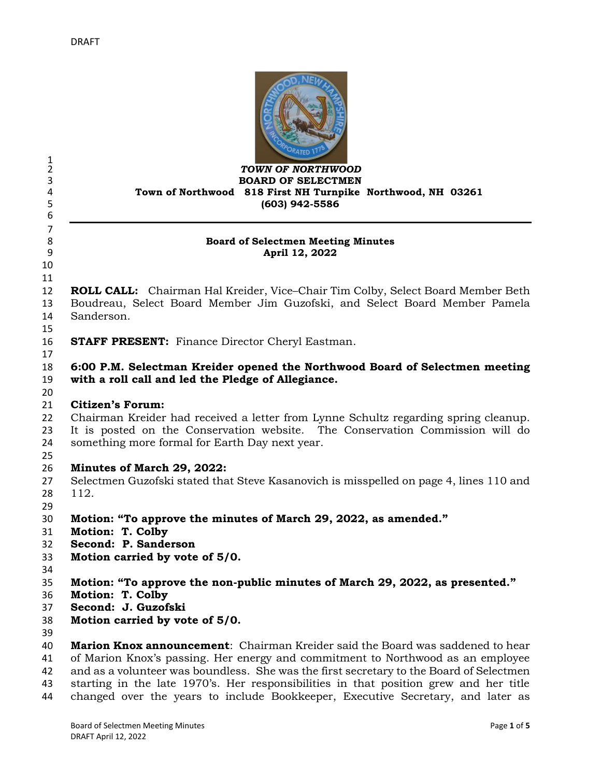

#### *TOWN OF NORTHWOOD* **BOARD OF SELECTMEN Town of Northwood 818 First NH Turnpike Northwood, NH 03261 (603) 942-5586**

#### **Board of Selectmen Meeting Minutes April 12, 2022**

 

 $\frac{1}{2}$ 

 

 **ROLL CALL:** Chairman Hal Kreider, Vice–Chair Tim Colby, Select Board Member Beth Boudreau, Select Board Member Jim Guzofski, and Select Board Member Pamela Sanderson.

**STAFF PRESENT:** Finance Director Cheryl Eastman.

# **6:00 P.M. Selectman Kreider opened the Northwood Board of Selectmen meeting with a roll call and led the Pledge of Allegiance.**

## **Citizen's Forum:**

 Chairman Kreider had received a letter from Lynne Schultz regarding spring cleanup. It is posted on the Conservation website. The Conservation Commission will do something more formal for Earth Day next year.

# **Minutes of March 29, 2022:**

- Selectmen Guzofski stated that Steve Kasanovich is misspelled on page 4, lines 110 and 112.
- 
- **Motion: "To approve the minutes of March 29, 2022, as amended."**
- **Motion: T. Colby**
- **Second: P. Sanderson**
- **Motion carried by vote of 5/0.**
- 
- **Motion: "To approve the non-public minutes of March 29, 2022, as presented."**
- **Motion: T. Colby**
- **Second: J. Guzofski**
- **Motion carried by vote of 5/0.**
- 

 **Marion Knox announcement**: Chairman Kreider said the Board was saddened to hear of Marion Knox's passing. Her energy and commitment to Northwood as an employee and as a volunteer was boundless. She was the first secretary to the Board of Selectmen starting in the late 1970's. Her responsibilities in that position grew and her title changed over the years to include Bookkeeper, Executive Secretary, and later as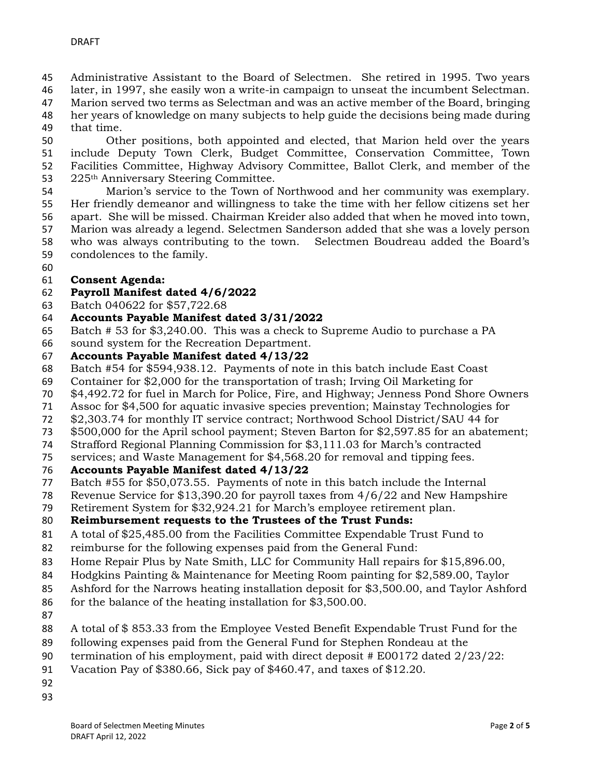- Administrative Assistant to the Board of Selectmen. She retired in 1995. Two years
- later, in 1997, she easily won a write-in campaign to unseat the incumbent Selectman.
- Marion served two terms as Selectman and was an active member of the Board, bringing her years of knowledge on many subjects to help guide the decisions being made during
- 
- that time.

 Other positions, both appointed and elected, that Marion held over the years include Deputy Town Clerk, Budget Committee, Conservation Committee, Town Facilities Committee, Highway Advisory Committee, Ballot Clerk, and member of the 53 225<sup>th</sup> Anniversary Steering Committee.

 Marion's service to the Town of Northwood and her community was exemplary. Her friendly demeanor and willingness to take the time with her fellow citizens set her apart. She will be missed. Chairman Kreider also added that when he moved into town, Marion was already a legend. Selectmen Sanderson added that she was a lovely person who was always contributing to the town. Selectmen Boudreau added the Board's condolences to the family.

## **Consent Agenda:**

#### **Payroll Manifest dated 4/6/2022**

- Batch 040622 for \$57,722.68
- **Accounts Payable Manifest dated 3/31/2022**
- Batch # 53 for \$3,240.00. This was a check to Supreme Audio to purchase a PA
- sound system for the Recreation Department.

#### **Accounts Payable Manifest dated 4/13/22**

- Batch #54 for \$594,938.12. Payments of note in this batch include East Coast
- Container for \$2,000 for the transportation of trash; Irving Oil Marketing for
- \$4,492.72 for fuel in March for Police, Fire, and Highway; Jenness Pond Shore Owners
- Assoc for \$4,500 for aquatic invasive species prevention; Mainstay Technologies for
- \$2,303.74 for monthly IT service contract; Northwood School District/SAU 44 for
- \$500,000 for the April school payment; Steven Barton for \$2,597.85 for an abatement;
- Strafford Regional Planning Commission for \$3,111.03 for March's contracted
- services; and Waste Management for \$4,568.20 for removal and tipping fees.

#### **Accounts Payable Manifest dated 4/13/22**

- Batch #55 for \$50,073.55. Payments of note in this batch include the Internal
- Revenue Service for \$13,390.20 for payroll taxes from 4/6/22 and New Hampshire
- Retirement System for \$32,924.21 for March's employee retirement plan.

## **Reimbursement requests to the Trustees of the Trust Funds:**

- A total of \$25,485.00 from the Facilities Committee Expendable Trust Fund to
- reimburse for the following expenses paid from the General Fund:
- Home Repair Plus by Nate Smith, LLC for Community Hall repairs for \$15,896.00,
- Hodgkins Painting & Maintenance for Meeting Room painting for \$2,589.00, Taylor
- Ashford for the Narrows heating installation deposit for \$3,500.00, and Taylor Ashford
- for the balance of the heating installation for \$3,500.00.
- 
- A total of \$ 853.33 from the Employee Vested Benefit Expendable Trust Fund for the
- following expenses paid from the General Fund for Stephen Rondeau at the
- termination of his employment, paid with direct deposit # E00172 dated 2/23/22:
- Vacation Pay of \$380.66, Sick pay of \$460.47, and taxes of \$12.20.
- 
-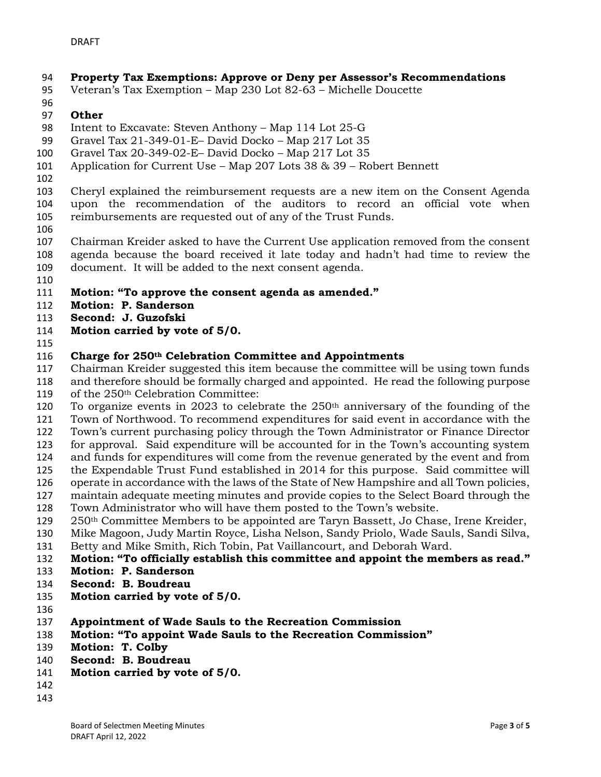# **Property Tax Exemptions: Approve or Deny per Assessor's Recommendations**

- Veteran's Tax Exemption Map 230 Lot 82-63 Michelle Doucette
- 

### **Other**

- Intent to Excavate: Steven Anthony Map 114 Lot 25-G
- Gravel Tax 21-349-01-E– David Docko Map 217 Lot 35
- Gravel Tax 20-349-02-E– David Docko Map 217 Lot 35
- Application for Current Use Map 207 Lots 38 & 39 Robert Bennett
- 

 Cheryl explained the reimbursement requests are a new item on the Consent Agenda upon the recommendation of the auditors to record an official vote when reimbursements are requested out of any of the Trust Funds.

 Chairman Kreider asked to have the Current Use application removed from the consent agenda because the board received it late today and hadn't had time to review the document. It will be added to the next consent agenda.

- 
- **Motion: "To approve the consent agenda as amended."**
- **Motion: P. Sanderson**
- **Second: J. Guzofski**
- **Motion carried by vote of 5/0.**
- 

#### **Charge for 250th Celebration Committee and Appointments**

 Chairman Kreider suggested this item because the committee will be using town funds and therefore should be formally charged and appointed. He read the following purpose of the 250th Celebration Committee:

120 To organize events in 2023 to celebrate the  $250<sup>th</sup>$  anniversary of the founding of the Town of Northwood. To recommend expenditures for said event in accordance with the Town's current purchasing policy through the Town Administrator or Finance Director

for approval. Said expenditure will be accounted for in the Town's accounting system

and funds for expenditures will come from the revenue generated by the event and from

 the Expendable Trust Fund established in 2014 for this purpose. Said committee will operate in accordance with the laws of the State of New Hampshire and all Town policies,

- maintain adequate meeting minutes and provide copies to the Select Board through the
- Town Administrator who will have them posted to the Town's website.

250<sup>th</sup> Committee Members to be appointed are Taryn Bassett, Jo Chase, Irene Kreider,

 Mike Magoon, Judy Martin Royce, Lisha Nelson, Sandy Priolo, Wade Sauls, Sandi Silva, Betty and Mike Smith, Rich Tobin, Pat Vaillancourt, and Deborah Ward.

- 
- **Motion: "To officially establish this committee and appoint the members as read."**
- **Motion: P. Sanderson**
- **Second: B. Boudreau**
- **Motion carried by vote of 5/0.**
- 
- **Appointment of Wade Sauls to the Recreation Commission**
- **Motion: "To appoint Wade Sauls to the Recreation Commission"**
- **Motion: T. Colby**
- **Second: B. Boudreau**
- **Motion carried by vote of 5/0.**
- 
-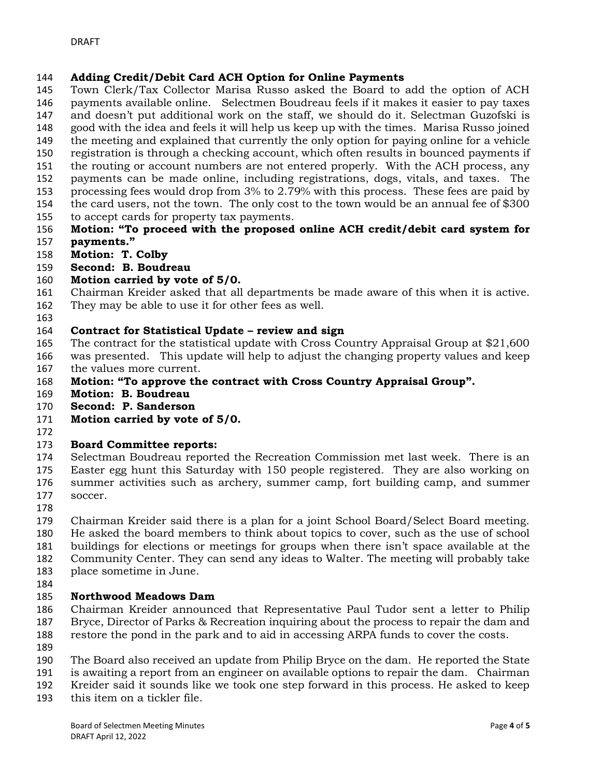## **Adding Credit/Debit Card ACH Option for Online Payments**

 Town Clerk/Tax Collector Marisa Russo asked the Board to add the option of ACH payments available online. Selectmen Boudreau feels if it makes it easier to pay taxes

 and doesn't put additional work on the staff, we should do it. Selectman Guzofski is good with the idea and feels it will help us keep up with the times. Marisa Russo joined

- the meeting and explained that currently the only option for paying online for a vehicle
- registration is through a checking account, which often results in bounced payments if
- the routing or account numbers are not entered properly. With the ACH process, any
- payments can be made online, including registrations, dogs, vitals, and taxes. The
- processing fees would drop from 3% to 2.79% with this process. These fees are paid by
- the card users, not the town. The only cost to the town would be an annual fee of \$300 to accept cards for property tax payments.
- **Motion: "To proceed with the proposed online ACH credit/debit card system for payments."**
- **Motion: T. Colby**
- **Second: B. Boudreau**

# **Motion carried by vote of 5/0.**

- Chairman Kreider asked that all departments be made aware of this when it is active.
- They may be able to use it for other fees as well.
- 

## **Contract for Statistical Update – review and sign**

- The contract for the statistical update with Cross Country Appraisal Group at \$21,600
- was presented. This update will help to adjust the changing property values and keep
- the values more current.
- **Motion: "To approve the contract with Cross Country Appraisal Group".**
- **Motion: B. Boudreau**
- **Second: P. Sanderson**
- **Motion carried by vote of 5/0.**
- 

# **Board Committee reports:**

 Selectman Boudreau reported the Recreation Commission met last week. There is an Easter egg hunt this Saturday with 150 people registered. They are also working on summer activities such as archery, summer camp, fort building camp, and summer soccer.

 Chairman Kreider said there is a plan for a joint School Board/Select Board meeting. He asked the board members to think about topics to cover, such as the use of school buildings for elections or meetings for groups when there isn't space available at the

- Community Center. They can send any ideas to Walter. The meeting will probably take
- place sometime in June.
- 

# **Northwood Meadows Dam**

 Chairman Kreider announced that Representative Paul Tudor sent a letter to Philip Bryce, Director of Parks & Recreation inquiring about the process to repair the dam and restore the pond in the park and to aid in accessing ARPA funds to cover the costs.

- 
- The Board also received an update from Philip Bryce on the dam. He reported the State
- is awaiting a report from an engineer on available options to repair the dam. Chairman
- Kreider said it sounds like we took one step forward in this process. He asked to keep
- this item on a tickler file.